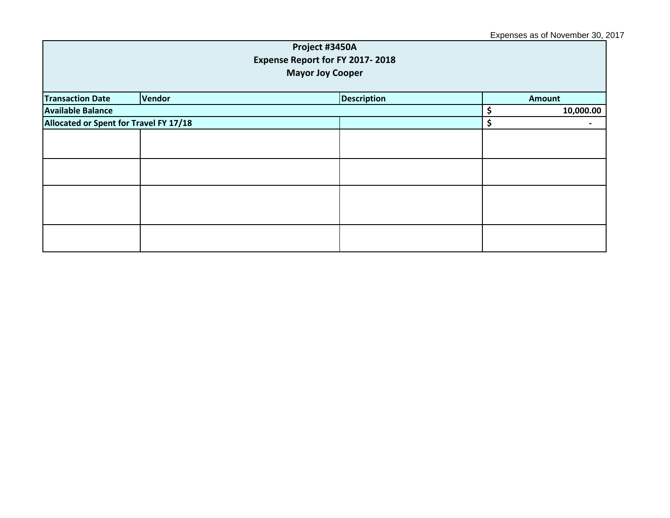## Expenses as of November 30, 2017

| Project #3450A<br>Expense Report for FY 2017-2018<br><b>Mayor Joy Cooper</b> |               |  |                    |  |               |  |
|------------------------------------------------------------------------------|---------------|--|--------------------|--|---------------|--|
| <b>Transaction Date</b>                                                      | <b>Vendor</b> |  | <b>Description</b> |  | <b>Amount</b> |  |
| <b>Available Balance</b>                                                     |               |  |                    |  | 10,000.00     |  |
| Allocated or Spent for Travel FY 17/18                                       |               |  |                    |  |               |  |
|                                                                              |               |  |                    |  |               |  |
|                                                                              |               |  |                    |  |               |  |
|                                                                              |               |  |                    |  |               |  |
|                                                                              |               |  |                    |  |               |  |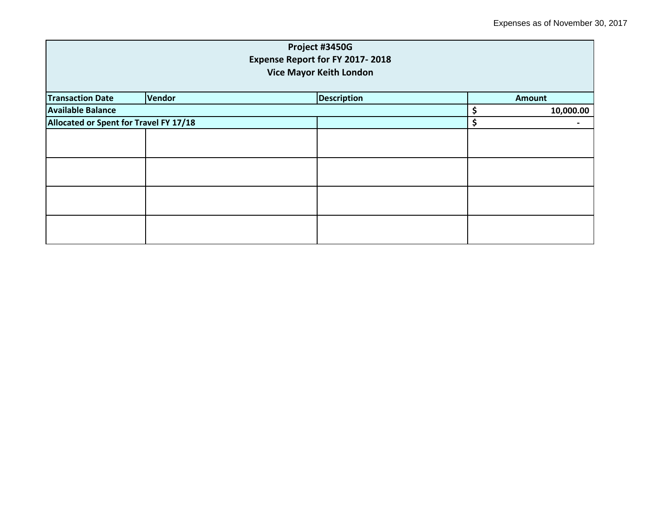|                                        |                                | Project #3450G                  |    |               |  |  |  |
|----------------------------------------|--------------------------------|---------------------------------|----|---------------|--|--|--|
|                                        |                                | Expense Report for FY 2017-2018 |    |               |  |  |  |
|                                        | <b>Vice Mayor Keith London</b> |                                 |    |               |  |  |  |
| <b>Transaction Date</b>                | Vendor                         | <b>Description</b>              |    | <b>Amount</b> |  |  |  |
| <b>Available Balance</b>               |                                |                                 | \$ | 10,000.00     |  |  |  |
| Allocated or Spent for Travel FY 17/18 |                                | \$                              |    |               |  |  |  |
|                                        |                                |                                 |    |               |  |  |  |
|                                        |                                |                                 |    |               |  |  |  |
|                                        |                                |                                 |    |               |  |  |  |
|                                        |                                |                                 |    |               |  |  |  |
|                                        |                                |                                 |    |               |  |  |  |
|                                        |                                |                                 |    |               |  |  |  |
|                                        |                                |                                 |    |               |  |  |  |
|                                        |                                |                                 |    |               |  |  |  |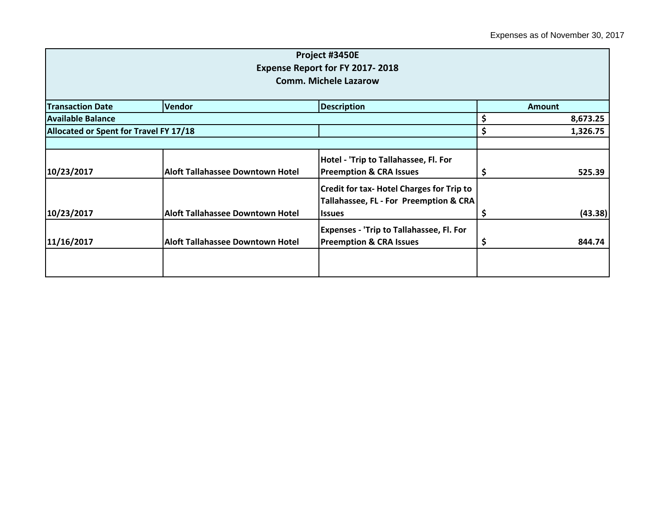|                                        |                                         | Project #3450E                                   |    |               |  |
|----------------------------------------|-----------------------------------------|--------------------------------------------------|----|---------------|--|
|                                        |                                         | <b>Expense Report for FY 2017-2018</b>           |    |               |  |
|                                        |                                         | <b>Comm. Michele Lazarow</b>                     |    |               |  |
| <b>Transaction Date</b>                | <b>Vendor</b>                           | <b>Description</b>                               |    | <b>Amount</b> |  |
| <b>Available Balance</b>               |                                         |                                                  | \$ |               |  |
|                                        |                                         |                                                  |    | 8,673.25      |  |
| Allocated or Spent for Travel FY 17/18 |                                         |                                                  | \$ | 1,326.75      |  |
|                                        |                                         |                                                  |    |               |  |
|                                        |                                         | Hotel - 'Trip to Tallahassee, Fl. For            |    |               |  |
| 10/23/2017                             | <b>Aloft Tallahassee Downtown Hotel</b> | <b>Preemption &amp; CRA Issues</b>               | Ş  | 525.39        |  |
|                                        |                                         | <b>Credit for tax- Hotel Charges for Trip to</b> |    |               |  |
|                                        |                                         | Tallahassee, FL - For Preemption & CRA           |    |               |  |
| 10/23/2017                             | <b>Aloft Tallahassee Downtown Hotel</b> | <b>Issues</b>                                    | \$ | (43.38)       |  |
|                                        |                                         | <b>Expenses - 'Trip to Tallahassee, Fl. For</b>  |    |               |  |
| 11/16/2017                             | <b>Aloft Tallahassee Downtown Hotel</b> | <b>Preemption &amp; CRA Issues</b>               | Ş  | 844.74        |  |
|                                        |                                         |                                                  |    |               |  |
|                                        |                                         |                                                  |    |               |  |